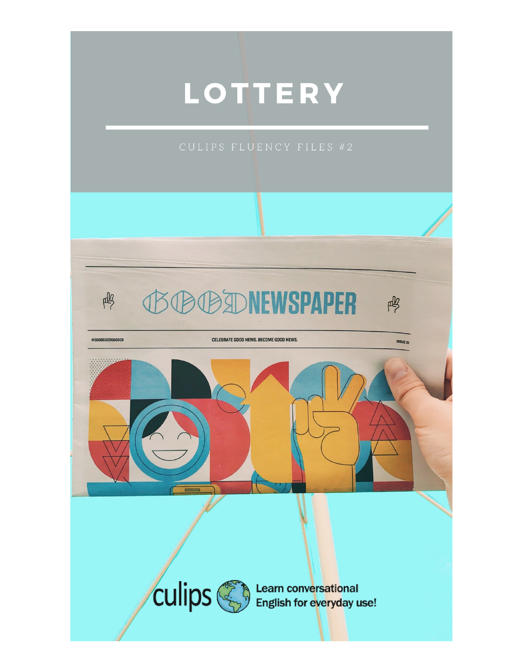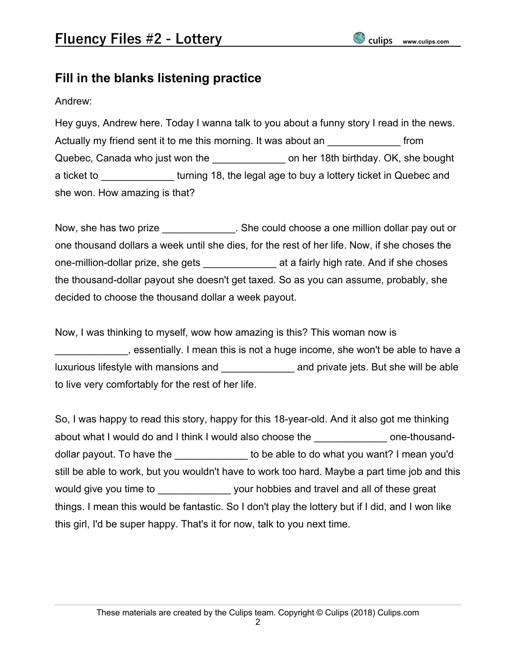## **Fill in the blanks listening practice**

#### Andrew:

Hey guys, Andrew here. Today I wanna talk to you about a funny story I read in the news. Actually my friend sent it to me this morning. It was about an  $\blacksquare$ Quebec, Canada who just won the **the container on her 18th birthday. OK, she bought** a ticket to **Example 18**, the legal age to buy a lottery ticket in Quebec and she won. How amazing is that?

Now, she has two prize **Now**. She could choose a one million dollar pay out or one thousand dollars a week until she dies, for the rest of her life. Now, if she choses the one-million-dollar prize, she gets **a** a fairly high rate. And if she choses the thousand-dollar payout she doesn't get taxed. So as you can assume, probably, she decided to choose the thousand dollar a week payout.

Now, I was thinking to myself, wow how amazing is this? This woman now is \_\_\_\_\_\_\_\_\_\_\_\_\_, essentially. I mean this is not a huge income, she won't be able to have a luxurious lifestyle with mansions and \_\_\_\_\_\_\_\_\_\_\_\_\_\_\_\_\_\_\_\_\_\_\_ and private jets. But she will be able to live very comfortably for the rest of her life.

So, I was happy to read this story, happy for this 18-year-old. And it also got me thinking about what I would do and I think I would also choose the example one-thousanddollar payout. To have the **the solut of the set of the able to do** what you want? I mean you'd still be able to work, but you wouldn't have to work too hard. Maybe a part time job and this would give you time to **would give you follow would give you** time to would give your hobbies and travel and all of these great things. I mean this would be fantastic. So I don't play the lottery but if I did, and I won like this girl, I'd be super happy. That's it for now, talk to you next time.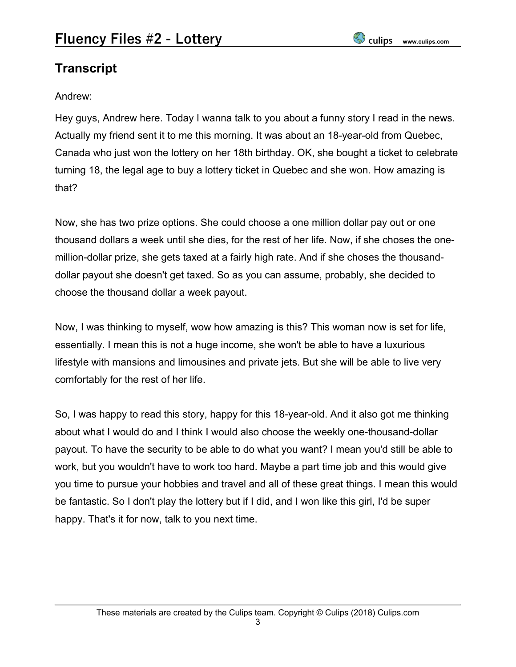# **Transcript**

### Andrew:

Hey guys, Andrew here. Today I wanna talk to you about a funny story I read in the news. Actually my friend sent it to me this morning. It was about an 18-year-old from Quebec, Canada who just won the lottery on her 18th birthday. OK, she bought a ticket to celebrate turning 18, the legal age to buy a lottery ticket in Quebec and she won. How amazing is that?

Now, she has two prize options. She could choose a one million dollar pay out or one thousand dollars a week until she dies, for the rest of her life. Now, if she choses the onemillion-dollar prize, she gets taxed at a fairly high rate. And if she choses the thousanddollar payout she doesn't get taxed. So as you can assume, probably, she decided to choose the thousand dollar a week payout.

Now, I was thinking to myself, wow how amazing is this? This woman now is set for life, essentially. I mean this is not a huge income, she won't be able to have a luxurious lifestyle with mansions and limousines and private jets. But she will be able to live very comfortably for the rest of her life.

So, I was happy to read this story, happy for this 18-year-old. And it also got me thinking about what I would do and I think I would also choose the weekly one-thousand-dollar payout. To have the security to be able to do what you want? I mean you'd still be able to work, but you wouldn't have to work too hard. Maybe a part time job and this would give you time to pursue your hobbies and travel and all of these great things. I mean this would be fantastic. So I don't play the lottery but if I did, and I won like this girl, I'd be super happy. That's it for now, talk to you next time.